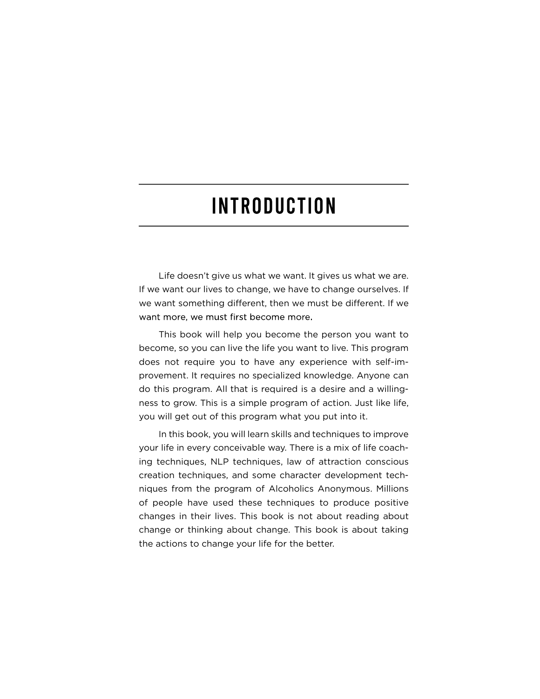# **INTRODUCTION**

Life doesn't give us what we want. It gives us what we are. If we want our lives to change, we have to change ourselves. If we want something different, then we must be different. If we want more, we must first become more.

This book will help you become the person you want to become, so you can live the life you want to live. This program does not require you to have any experience with self-improvement. It requires no specialized knowledge. Anyone can do this program. All that is required is a desire and a willingness to grow. This is a simple program of action. Just like life, you will get out of this program what you put into it.

In this book, you will learn skills and techniques to improve your life in every conceivable way. There is a mix of life coaching techniques, NLP techniques, law of attraction conscious creation techniques, and some character development techniques from the program of Alcoholics Anonymous. Millions of people have used these techniques to produce positive changes in their lives. This book is not about reading about change or thinking about change. This book is about taking the actions to change your life for the better.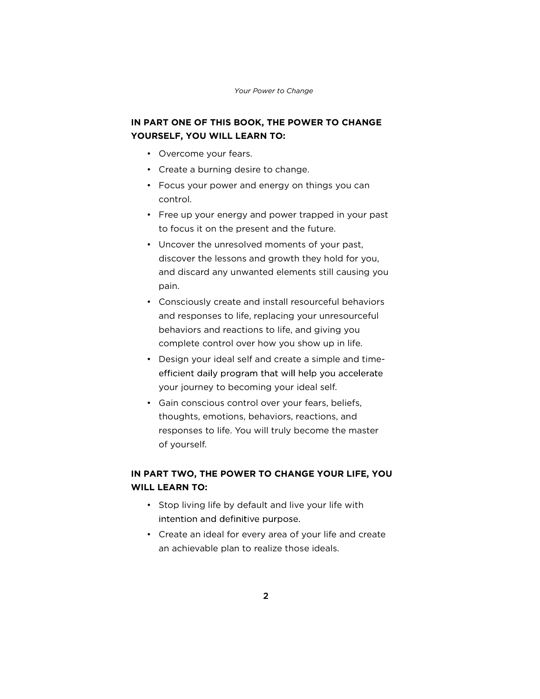#### Your Power to Change

# IN PART ONE OF THIS BOOK, THE POWER TO CHANGE YOURSELF, YOU WILL LEARN TO: Your Power to Cha<br> **PART ONE OF THIS BOOK, THE PO<br>
JRSELF, YOU WILL LEARN TO:<br>
• Overcome your fears.**<br>
• Create a burning desire to chang

- 
- Create a burning desire to change.
- Focus your power and energy on things you can control.
- Free up your energy and power trapped in your past to focus it on the present and the future.
- Uncover the unresolved moments of your past, discover the lessons and growth they hold for you, and discard any unwanted elements still causing you pain.
- Consciously create and install resourceful behaviors and responses to life, replacing your unresourceful behaviors and reactions to life, and giving you complete control over how you show up in life.
- Design your ideal self and create a simple and timeefficient daily program that will help you accelerate your journey to becoming your ideal self.
- Gain conscious control over your fears, beliefs, thoughts, emotions, behaviors, reactions, and responses to life. You will truly become the master of yourself.

## IN PART TWO, THE POWER TO CHANGE YOUR LIFE, YOU WILL LEARN TO:

- Stop living life by default and live your life with intention and definitive purpose.
- Create an ideal for every area of your life and create an achievable plan to realize those ideals.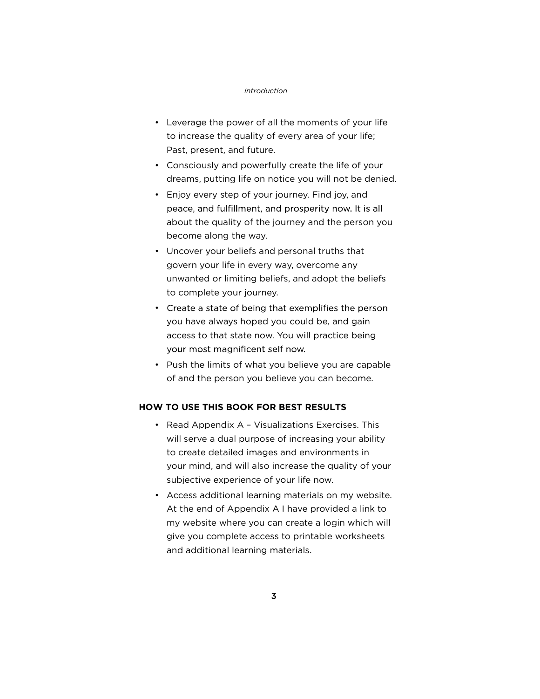#### Introduction

- Leverage the power of all the moments of your life to increase the quality of every area of your life; Past, present, and future.
- Consciously and powerfully create the life of your dreams, putting life on notice you will not be denied.
- Enjoy every step of your journey. Find joy, and peace, and fulfillment, and prosperity now. It is all about the quality of the journey and the person you become along the way.
- Uncover your beliefs and personal truths that govern your life in every way, overcome any unwanted or limiting beliefs, and adopt the beliefs to complete your journey.
- Create a state of being that exemplifies the person you have always hoped you could be, and gain access to that state now. You will practice being your most magnificent self now.
- Push the limits of what you believe you are capable of and the person you believe you can become.

### HOW TO USE THIS BOOK FOR BEST RESULTS

- Read Appendix A Visualizations Exercises. This will serve a dual purpose of increasing your ability to create detailed images and environments in your mind, and will also increase the quality of your subjective experience of your life now.
- Access additional learning materials on my website. At the end of Appendix A I have provided a link to my website where you can create a login which will give you complete access to printable worksheets and additional learning materials.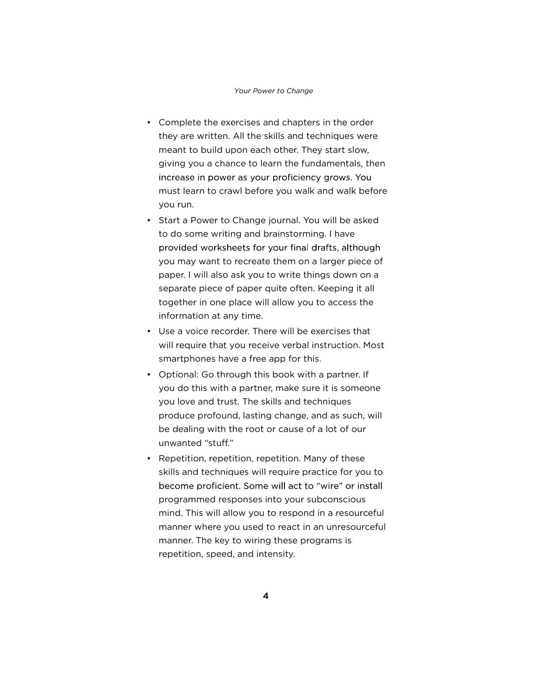#### Your Power to Change

- Complete the exercises and chapters in the order they are written. All the skills and techniques were meant to build upon each other. They start slow, giving you a chance to learn the fundamentals, then increase in power as your proficiency grows. You must learn to crawl before you walk and walk before you run.
- Start a Power to Change journal. You will be asked to do some writing and brainstorming. I have provided worksheets for your final drafts, although you may want to recreate them on a larger piece of paper. I will also ask you to write things down on a separate piece of paper quite often. Keeping it all together in one place will allow you to access the information at any time.
- Use a voice recorder. There will be exercises that will require that you receive verbal instruction. Most smartphones have a free app for this.
- Optional: Go through this book with a partner. If you do this with a partner, make sure it is someone you love and trust. The skills and techniques produce profound, lasting change, and as such, will be dealing with the root or cause of a lot of our unwanted "stuff."
- Repetition, repetition, repetition. Many of these skills and techniques will require practice for you to become proficient. Some will act to "wire" or install programmed responses into your subconscious mind. This will allow you to respond in a resourceful manner where you used to react in an unresourceful manner. The key to wiring these programs is repetition, speed, and intensity.